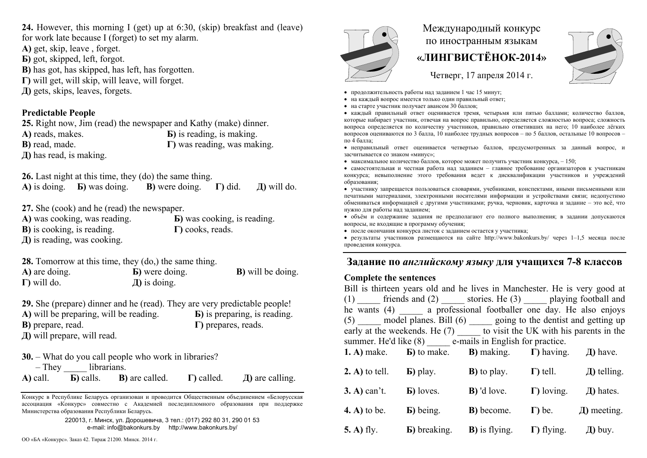**24.** However, this morning I (get) up at 6:30, (skip) breakfast and (leave)

for work late because I (forget) to set my alarm.

**А)** get, skip, leave , forget.

- **Б)** got, skipped, left, forgot.
- **B**) has got, has skipped, has left, has forgotten.
- **Г)** will get, will skip, will leave, will forget.
- **Д)** gets, skips, leaves, forgets.

## **Predictable People**

**25.** Right now, Jim (read) the newspaper and Kathy (make) dinner. **А)** reads, makes. **Б)** is reading, is making. **В)** read, made. **Г)** was reading, was making. **Д)** has read, is making.

**26.** Last night at this time, they (do) the same thing.

**А)** is doing. **Б)** was doing. **В)** were doing. **Г)** did. **Д)** will do.

**27.** She (cook) and he (read) the newspaper.

| A) was cooking, was reading.       | <b>b</b> ) was cooking, is reading. |
|------------------------------------|-------------------------------------|
| <b>B</b> ) is cooking, is reading. | $\Gamma$ ) cooks, reads.            |
| $\pi$ ) is reading, was cooking.   |                                     |

**28.** Tomorrow at this time, they (do,) the same thing.

**А)** are doing. **Б)** were doing. **В)** will be doing. **Г)** will do. **Д)** is doing.

**29.** She (prepare) dinner and he (read). They are very predictable people! **А)** will be preparing, will be reading. **Б)** is preparing, is reading. **В)** prepare, read. **Г)** prepares, reads. **Д)** will prepare, will read.

|                    | <b>30.</b> – What do you call people who work in libraries? |                    |                      |
|--------------------|-------------------------------------------------------------|--------------------|----------------------|
| - They librarians. |                                                             |                    |                      |
|                    | $\bf{A}$ ) call. $\bf{B}$ ) calls. $\bf{B}$ ) are called.   | $\Gamma$ ) called. | $\pi$ ) are calling. |

Конкурс <sup>в</sup> Республике Беларусь организован <sup>и</sup> проводится Общественным объединением «Белорусская ассоциация «Конкурс» совместно <sup>с</sup> Академией последипломного образования при поддержке Министерства образования Республики Беларусь.

> 220013, <sup>г</sup>. Минск, ул. Дорошевича, 3 тел.: (017) 292 80 31, 290 01 53 e-mail: info@bakonkurs.by http://www.bakonkurs.by/



## Международный конкурс по иностранным языкам **«ЛИНГВИСТЁНОК-2014»**



Четверг, 17 апреля 2014 г.

- продолжительность работы над заданием 1 час 15 минут;
- на каждый вопрос имеется только один правильный ответ;
- на старте участник получает авансом 30 баллов;

 каждый правильный ответ оценивается тремя, четырьмя или пятью баллами; количество баллов, которые набирает участник, отвечая на вопрос правильно, определяется сложностью вопроса; сложность вопроса определяется по количеству участников, правильно ответивших на него; 10 наиболее лёгких вопросов оцениваются по 3 балла, 10 наиболее трудных вопросов – по 5 баллов, остальные 10 вопросов – по 4 балла;

 неправильный ответ оценивается четвертью баллов, предусмотренных за данный вопрос, <sup>и</sup> засчитывается со знаком «минус»;

• максимальное количество баллов, которое может получить участник конкурса,  $-150$ ;

 самостоятельная и честная работа над заданием – главное требование организаторов <sup>к</sup> участникам конкурса; невыполнение этого требования ведет <sup>к</sup> дисквалификации участников <sup>и</sup> учреждений образования;

 участнику запрещается пользоваться словарями, учебниками, конспектами, иными письменными или печатными материалами, электронными носителями информации <sup>и</sup> устройствами связи; недопустимо обмениваться информацией <sup>с</sup> другими участниками; ручка, черновик, карточка <sup>и</sup> задание – это всё, что нужно для работы над заданием;

 объём <sup>и</sup> содержание задания не предполагают его полного выполнения; <sup>в</sup> задании допускаются вопросы, не входящие <sup>в</sup> программу обучения;

после окончания конкурса листок с заданием остается у участника;

 результаты участников размещаются на сайте http://www.bakonkurs.by/ через 1–1,5 месяца после проведения конкурса.

## **Задание по** *английскому языку* **для учащихся 7-8 классов**

## **Complete the sentences**

| Bill is thirteen years old and he lives in Manchester. He is very good at |                                                                                     |                                                                            |                    |                  |
|---------------------------------------------------------------------------|-------------------------------------------------------------------------------------|----------------------------------------------------------------------------|--------------------|------------------|
|                                                                           | $(1)$ ______ friends and $(2)$ ______ stories. He $(3)$ ______ playing football and |                                                                            |                    |                  |
| he wants (4) a professional footballer one day. He also enjoys            |                                                                                     |                                                                            |                    |                  |
| $(5)$ model planes. Bill $(6)$ going to the dentist and getting up        |                                                                                     |                                                                            |                    |                  |
| early at the weekends. He $(7)$ to visit the UK with his parents in the   |                                                                                     |                                                                            |                    |                  |
| summer. He'd like (8) e-mails in English for practice.                    |                                                                                     |                                                                            |                    |                  |
|                                                                           | <b>1.</b> A) make. <b>b</b> ) to make. <b>b</b> ) making. $\Gamma$ ) having.        |                                                                            |                    | $\pi$ ) have.    |
|                                                                           |                                                                                     |                                                                            |                    |                  |
| 2. A) to tell. $\qquad$ <b>b</b> ) play.                                  |                                                                                     | <b>B</b> ) to play. $\Gamma$ ) tell.                                       |                    | $\pi$ ) telling. |
| $3. A$ ) can't.                                                           | <b>b</b> ) loves.                                                                   | $\bf{B}$ ) 'd love.                                                        | $\Gamma$ ) loving. | $\pi$ ) hates.   |
|                                                                           |                                                                                     |                                                                            |                    |                  |
| <b>4. A)</b> to be.                                                       | $\bf{E}$ ) being.                                                                   | <b>B</b> ) become.                                                         | $\Gamma$ ) be.     | $\pi$ ) meeting. |
|                                                                           |                                                                                     |                                                                            |                    |                  |
| <b>5. A)</b> fly.                                                         |                                                                                     | <b>b</b> ) breaking. <b>b</b> ) is flying. $\Gamma$ ) flying. $\pi$ ) buy. |                    |                  |